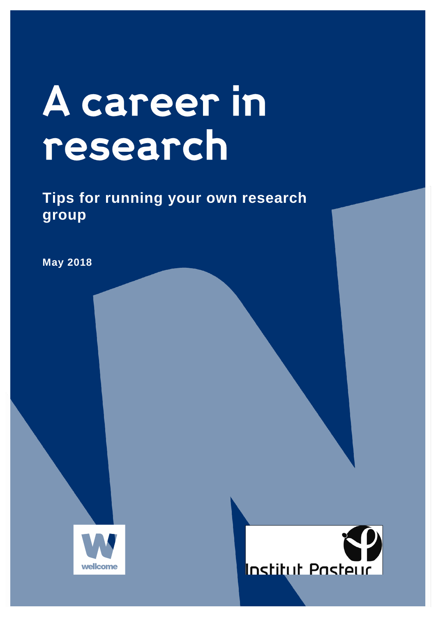# A career in research

**Tips for running your own research group**

**May 2018** 



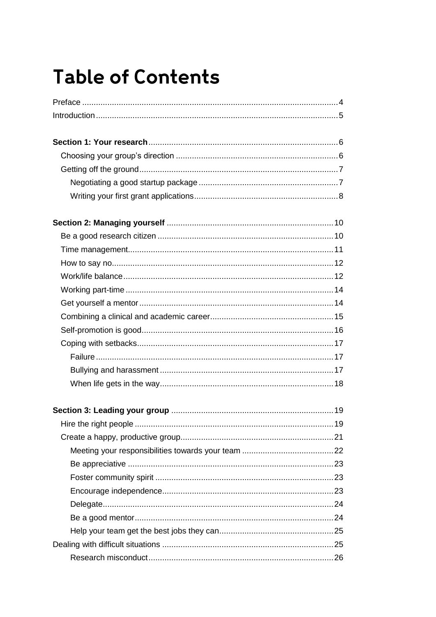### **Table of Contents**

| 19 |
|----|
|    |
|    |
|    |
|    |
|    |
|    |
|    |
|    |
|    |
|    |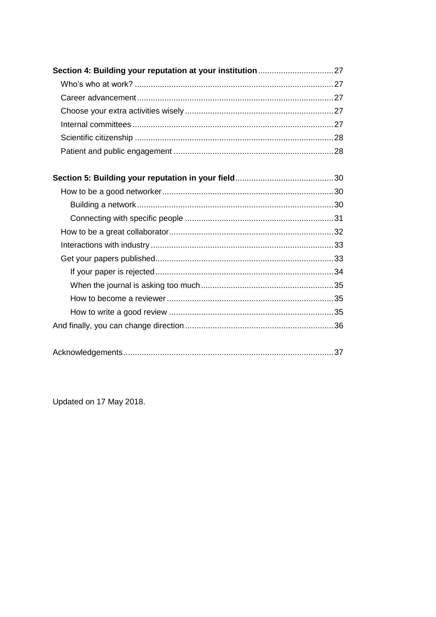Updated on 17 May 2018.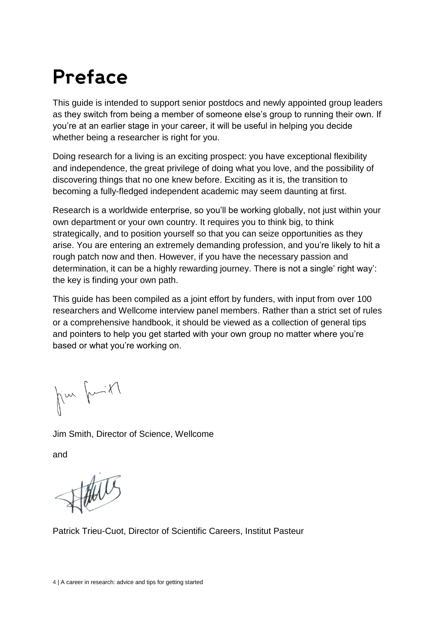### Preface

This guide is intended to support senior postdocs and newly appointed group leaders as they switch from being a member of someone else's group to running their own. If you're at an earlier stage in your career, it will be useful in helping you decide whether being a researcher is right for you.

Doing research for a living is an exciting prospect: you have exceptional flexibility and independence, the great privilege of doing what you love, and the possibility of discovering things that no one knew before. Exciting as it is, the transition to becoming a fully-fledged independent academic may seem daunting at first.

Research is a worldwide enterprise, so you'll be working globally, not just within your own department or your own country. It requires you to think big, to think strategically, and to position yourself so that you can seize opportunities as they arise. You are entering an extremely demanding profession, and you're likely to hit a rough patch now and then. However, if you have the necessary passion and determination, it can be a highly rewarding journey. There is not a single' right way': the key is finding your own path.

This guide has been compiled as a joint effort by funders, with input from over 100 researchers and Wellcome interview panel members. Rather than a strict set of rules or a comprehensive handbook, it should be viewed as a collection of general tips and pointers to help you get started with your own group no matter where you're based or what you're working on.

Kin fritt

Jim Smith, Director of Science, Wellcome

and

Patrick Trieu-Cuot, Director of Scientific Careers, Institut Pasteur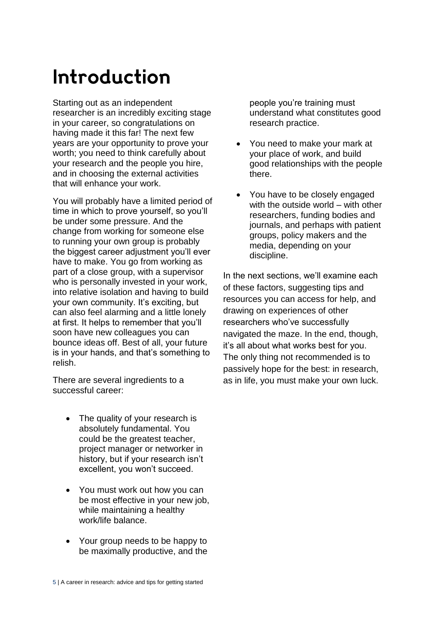### Introduction

Starting out as an independent researcher is an incredibly exciting stage in your career, so congratulations on having made it this far! The next few years are your opportunity to prove your worth; you need to think carefully about your research and the people you hire, and in choosing the external activities that will enhance your work.

You will probably have a limited period of time in which to prove yourself, so you'll be under some pressure. And the change from working for someone else to running your own group is probably the biggest career adjustment you'll ever have to make. You go from working as part of a close group, with a supervisor who is personally invested in your work, into relative isolation and having to build your own community. It's exciting, but can also feel alarming and a little lonely at first. It helps to remember that you'll soon have new colleagues you can bounce ideas off. Best of all, your future is in your hands, and that's something to relish.

There are several ingredients to a successful career:

- The quality of your research is absolutely fundamental. You could be the greatest teacher, project manager or networker in history, but if your research isn't excellent, you won't succeed.
- You must work out how you can be most effective in your new job, while maintaining a healthy work/life balance.
- Your group needs to be happy to be maximally productive, and the

people you're training must understand what constitutes good research practice.

- You need to make your mark at your place of work, and build good relationships with the people there.
- You have to be closely engaged with the outside world – with other researchers, funding bodies and journals, and perhaps with patient groups, policy makers and the media, depending on your discipline.

In the next sections, we'll examine each of these factors, suggesting tips and resources you can access for help, and drawing on experiences of other researchers who've successfully navigated the maze. In the end, though, it's all about what works best for you. The only thing not recommended is to passively hope for the best: in research, as in life, you must make your own luck.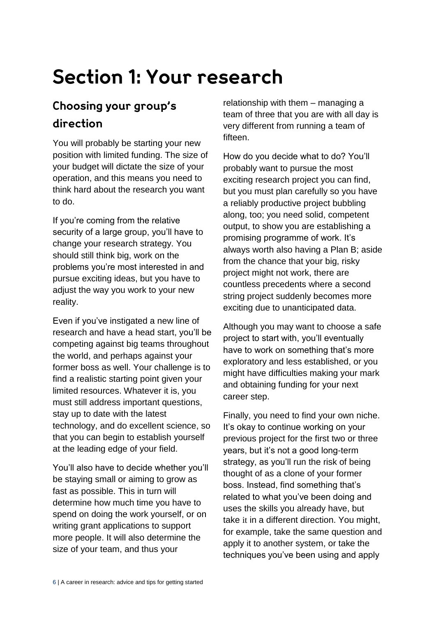### Section 1: Your research

#### Choosing your group's direction

You will probably be starting your new position with limited funding. The size of your budget will dictate the size of your operation, and this means you need to think hard about the research you want to do.

If you're coming from the relative security of a large group, you'll have to change your research strategy. You should still think big, work on the problems you're most interested in and pursue exciting ideas, but you have to adjust the way you work to your new reality.

Even if you've instigated a new line of research and have a head start, you'll be competing against big teams throughout the world, and perhaps against your former boss as well. Your challenge is to find a realistic starting point given your limited resources. Whatever it is, you must still address important questions, stay up to date with the latest technology, and do excellent science, so that you can begin to establish yourself at the leading edge of your field.

You'll also have to decide whether you'll be staying small or aiming to grow as fast as possible. This in turn will determine how much time you have to spend on doing the work yourself, or on writing grant applications to support more people. It will also determine the size of your team, and thus your

relationship with them – managing a team of three that you are with all day is very different from running a team of fifteen.

How do you decide what to do? You'll probably want to pursue the most exciting research project you can find, but you must plan carefully so you have a reliably productive project bubbling along, too; you need solid, competent output, to show you are establishing a promising programme of work. It's always worth also having a Plan B; aside from the chance that your big, risky project might not work, there are countless precedents where a second string project suddenly becomes more exciting due to unanticipated data.

Although you may want to choose a safe project to start with, you'll eventually have to work on something that's more exploratory and less established, or you might have difficulties making your mark and obtaining funding for your next career step.

Finally, you need to find your own niche. It's okay to continue working on your previous project for the first two or three years, but it's not a good long-term strategy, as you'll run the risk of being thought of as a clone of your former boss. Instead, find something that's related to what you've been doing and uses the skills you already have, but take it in a different direction. You might, for example, take the same question and apply it to another system, or take the techniques you've been using and apply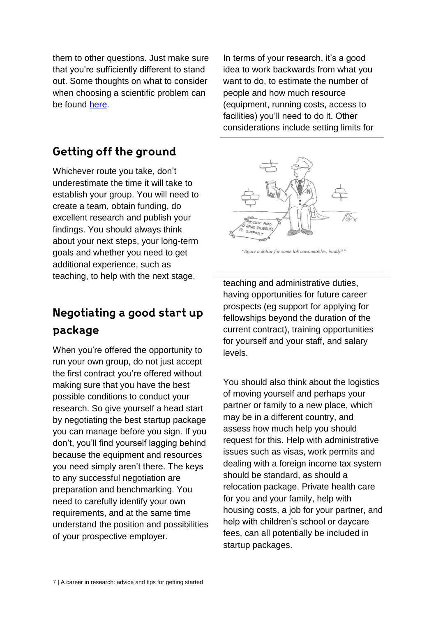them to other questions. Just make sure that you're sufficiently different to stand out. Some thoughts on what to consider when choosing a scientific problem can be found [here.](http://www.cell.com/molecular-cell/fulltext/S1097-2765(09)00641-8)

#### Getting off the ground

Whichever route you take, don't underestimate the time it will take to establish your group. You will need to create a team, obtain funding, do excellent research and publish your findings. You should always think about your next steps, your long-term goals and whether you need to get additional experience, such as teaching, to help with the next stage.

#### Negotiating a good start up package

When you're offered the opportunity to run your own group, do not just accept the first contract you're offered without making sure that you have the best possible conditions to conduct your research. So give yourself a head start by negotiating the best startup package you can manage before you sign. If you don't, you'll find yourself lagging behind because the equipment and resources you need simply aren't there. The keys to any successful negotiation are preparation and benchmarking. You need to carefully identify your own requirements, and at the same time understand the position and possibilities of your prospective employer.

In terms of your research, it's a good idea to work backwards from what you want to do, to estimate the number of people and how much resource (equipment, running costs, access to facilities) you'll need to do it. Other considerations include setting limits for



"Spare a dollar for some lab consumables, buddy?"

teaching and administrative duties, having opportunities for future career prospects (eg support for applying for fellowships beyond the duration of the current contract), training opportunities for yourself and your staff, and salary levels.

You should also think about the logistics of moving yourself and perhaps your partner or family to a new place, which may be in a different country, and assess how much help you should request for this. Help with administrative issues such as visas, work permits and dealing with a foreign income tax system should be standard, as should a relocation package. Private health care for you and your family, help with housing costs, a job for your partner, and help with children's school or daycare fees, can all potentially be included in startup packages.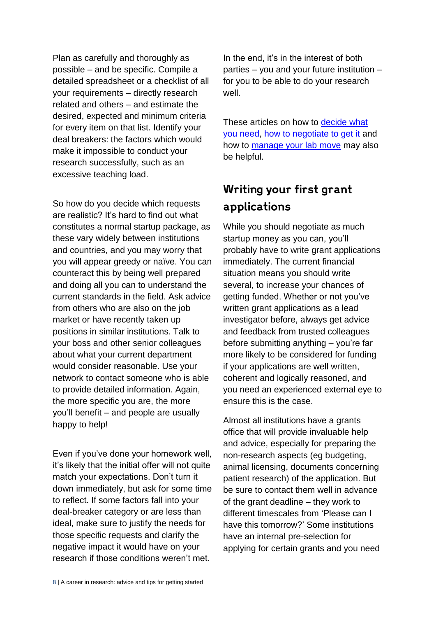Plan as carefully and thoroughly as possible – and be specific. Compile a detailed spreadsheet or a checklist of all your requirements – directly research related and others – and estimate the desired, expected and minimum criteria for every item on that list. Identify your deal breakers: the factors which would make it impossible to conduct your research successfully, such as an excessive teaching load.

So how do you decide which requests are realistic? It's hard to find out what constitutes a normal startup package, as these vary widely between institutions and countries, and you may worry that you will appear greedy or naïve. You can counteract this by being well prepared and doing all you can to understand the current standards in the field. Ask advice from others who are also on the job market or have recently taken up positions in similar institutions. Talk to your boss and other senior colleagues about what your current department would consider reasonable. Use your network to contact someone who is able to provide detailed information. Again, the more specific you are, the more you'll benefit – and people are usually happy to help!

Even if you've done your homework well, it's likely that the initial offer will not quite match your expectations. Don't turn it down immediately, but ask for some time to reflect. If some factors fall into your deal-breaker category or are less than ideal, make sure to justify the needs for those specific requests and clarify the negative impact it would have on your research if those conditions weren't met.

In the end, it's in the interest of both parties – you and your future institution – for you to be able to do your research well.

These articles on how to decide what [you need,](http://www.sciencemag.org/careers/2009/07/business-sense-starting-academic-lab) [how to negotiate to get it](http://blogs.nature.com/naturejobs/2015/11/16/the-faculty-series-top-10-tips-on-negotiating-start-up-packages/) and how to [manage your lab move](http://www.sciencemag.org/careers/2014/09/managing-lab-move) may also be helpful.

#### Writing your first grant applications

While you should negotiate as much startup money as you can, you'll probably have to write grant applications immediately. The current financial situation means you should write several, to increase your chances of getting funded. Whether or not you've written grant applications as a lead investigator before, always get advice and feedback from trusted colleagues before submitting anything – you're far more likely to be considered for funding if your applications are well written, coherent and logically reasoned, and you need an experienced external eye to ensure this is the case.

Almost all institutions have a grants office that will provide invaluable help and advice, especially for preparing the non-research aspects (eg budgeting, animal licensing, documents concerning patient research) of the application. But be sure to contact them well in advance of the grant deadline – they work to different timescales from 'Please can I have this tomorrow?' Some institutions have an internal pre-selection for applying for certain grants and you need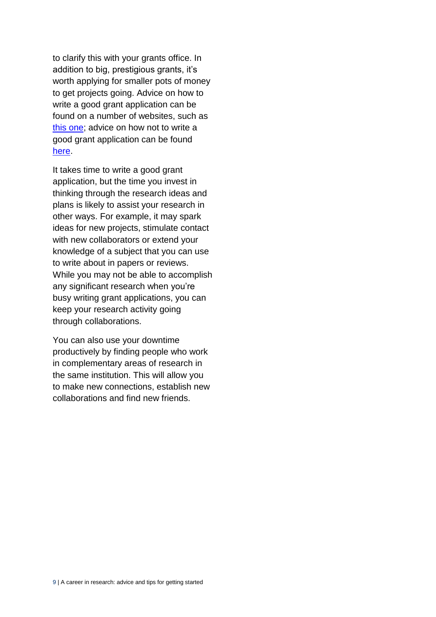to clarify this with your grants office. In addition to big, prestigious grants, it's worth applying for smaller pots of money to get projects going. Advice on how to write a good grant application can be found on a number of websites, such as [this one;](http://www.ifm.eng.cam.ac.uk/research/grant-writers-handbook/links/) advice on how not to write a good grant application can be found [here.](http://www.chronicle.com/article/How-to-Fail-in-Grant-Writing/125620)

It takes time to write a good grant application, but the time you invest in thinking through the research ideas and plans is likely to assist your research in other ways. For example, it may spark ideas for new projects, stimulate contact with new collaborators or extend your knowledge of a subject that you can use to write about in papers or reviews. While you may not be able to accomplish any significant research when you're busy writing grant applications, you can keep your research activity going through collaborations.

You can also use your downtime productively by finding people who work in complementary areas of research in the same institution. This will allow you to make new connections, establish new collaborations and find new friends.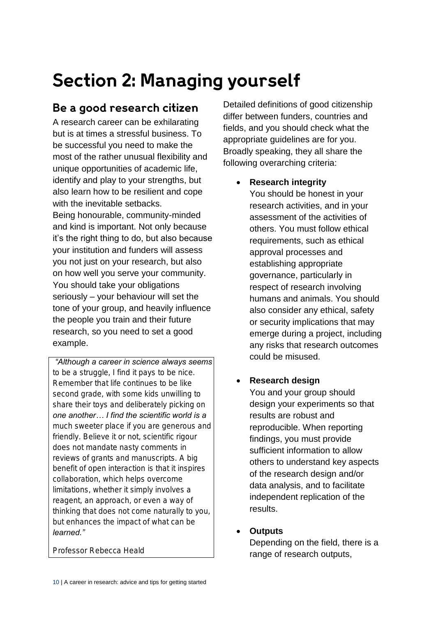### **Section 2: Managing yourself**

#### Be a good research citizen

A research career can be exhilarating but is at times a stressful business. To be successful you need to make the most of the rather unusual flexibility and unique opportunities of academic life, identify and play to your strengths, but also learn how to be resilient and cope with the inevitable setbacks. Being honourable, community-minded and kind is important. Not only because it's the right thing to do, but also because your institution and funders will assess you not just on your research, but also on how well you serve your community. You should take your obligations seriously – your behaviour will set the tone of your group, and heavily influence the people you train and their future research, so you need to set a good example.

*"Although a career in science always seems to be a struggle, I find it pays to be nice. Remember that life continues to be like second grade, with some kids unwilling to share their toys and deliberately picking on one another… I find the scientific world is a much sweeter place if you are generous and friendly. Believe it or not, scientific rigour does not mandate nasty comments in reviews of grants and manuscripts. A big benefit of open interaction is that it inspires collaboration, which helps overcome limitations, whether it simply involves a reagent, an approach, or even a way of thinking that does not come naturally to you, but enhances the impact of what can be learned."*

*Professor Rebecca Heald*

Detailed definitions of good citizenship differ between funders, countries and fields, and you should check what the appropriate guidelines are for you. Broadly speaking, they all share the following overarching criteria:

- Research integrity You should be honest in your research activities, and in your assessment of the activities of others. You must follow ethical requirements, such as ethical approval processes and establishing appropriate governance, particularly in respect of research involving humans and animals. You should also consider any ethical, safety or security implications that may emerge during a project, including any risks that research outcomes could be misused.
- Research design You and your group should design your experiments so that results are robust and reproducible. When reporting findings, you must provide sufficient information to allow others to understand key aspects of the research design and/or data analysis, and to facilitate independent replication of the results.
	- **Outputs** Depending on the field, there is a range of research outputs,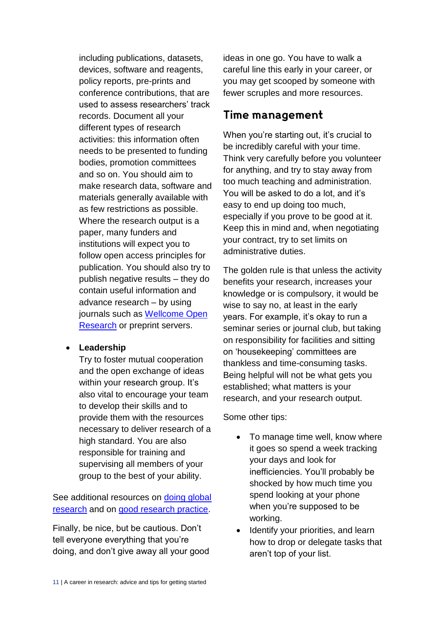including publications, datasets, devices, software and reagents, policy reports, pre-prints and conference contributions, that are used to assess researchers' track records. Document all your different types of research activities: this information often needs to be presented to funding bodies, promotion committees and so on. You should aim to make research data, software and materials generally available with as few restrictions as possible. Where the research output is a paper, many funders and institutions will expect you to follow open access principles for publication. You should also try to publish negative results – they do contain useful information and advance research – by using journals such as [Wellcome Open](https://wellcomeopenresearch.org/)  [Research](https://wellcomeopenresearch.org/) or preprint servers.

• Leadership

Try to foster mutual cooperation and the open exchange of ideas within your research group. It's also vital to encourage your team to develop their skills and to provide them with the resources necessary to deliver research of a high standard. You are also responsible for training and supervising all members of your group to the best of your ability.

See additional resources on doing global [research](http://www.interacademies.org/33345.aspx) and on [good research practice.](https://wellcome.ac.uk/what-we-do/our-work/research-practice)

Finally, be nice, but be cautious. Don't tell everyone everything that you're doing, and don't give away all your good ideas in one go. You have to walk a careful line this early in your career, or you may get scooped by someone with fewer scruples and more resources.

#### Time management

When you're starting out, it's crucial to be incredibly careful with your time. Think very carefully before you volunteer for anything, and try to stay away from too much teaching and administration. You will be asked to do a lot, and it's easy to end up doing too much, especially if you prove to be good at it. Keep this in mind and, when negotiating your contract, try to set limits on administrative duties.

The golden rule is that unless the activity benefits your research, increases your knowledge or is compulsory, it would be wise to say no, at least in the early years. For example, it's okay to run a seminar series or journal club, but taking on responsibility for facilities and sitting on 'housekeeping' committees are thankless and time-consuming tasks. Being helpful will not be what gets you established; what matters is your research, and your research output.

Some other tips:

- To manage time well, know where it goes so spend a week tracking your days and look for inefficiencies. You'll probably be shocked by how much time you spend looking at your phone when you're supposed to be working.
- Identify your priorities, and learn how to drop or delegate tasks that aren't top of your list.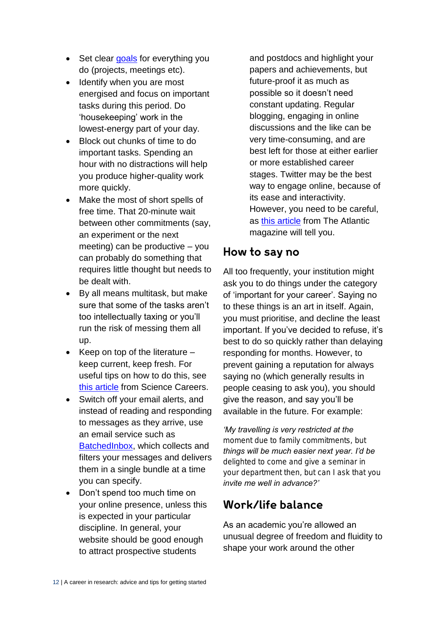- Set clear [goals](https://www.projectsmart.co.uk/smart-goals.php) for everything you do (projects, meetings etc).
- Identify when you are most energised and focus on important tasks during this period. Do 'housekeeping' work in the lowest-energy part of your day.
- Block out chunks of time to do important tasks. Spending an hour with no distractions will help you produce higher-quality work more quickly.
- Make the most of short spells of free time. That 20-minute wait between other commitments (say, an experiment or the next meeting) can be productive – you can probably do something that requires little thought but needs to be dealt with.
- By all means multitask, but make sure that some of the tasks aren't too intellectually taxing or you'll run the risk of messing them all up.
- $\bullet$  Keep on top of the literature  $$ keep current, keep fresh. For useful tips on how to do this, see [this article](http://www.sciencemag.org/careers/2016/11/how-keep-scientific-literature) from Science Careers.
- Switch off your email alerts, and instead of reading and responding to messages as they arrive, use an email service such as [BatchedInbox,](https://try.batchedinbox.com/) which collects and filters your messages and delivers them in a single bundle at a time you can specify.
- Don't spend too much time on your online presence, unless this is expected in your particular discipline. In general, your website should be good enough to attract prospective students

and postdocs and highlight your papers and achievements, but future-proof it as much as possible so it doesn't need constant updating. Regular blogging, engaging in online discussions and the like can be very time-consuming, and are best left for those at either earlier or more established career stages. Twitter may be the best way to engage online, because of its ease and interactivity. However, you need to be careful, as [this article](https://www.theatlantic.com/education/archive/2017/05/the-young-academics-twitter-conundrum/525924/) from The Atlantic magazine will tell you.

#### How to say no

All too frequently, your institution might ask you to do things under the category of 'important for your career'. Saying no to these things is an art in itself. Again, you must prioritise, and decline the least important. If you've decided to refuse, it's best to do so quickly rather than delaying responding for months. However, to prevent gaining a reputation for always saying no (which generally results in people ceasing to ask you), you should give the reason, and say you'll be available in the future. For example:

*'My travelling is very restricted at the moment due to family commitments, but things will be much easier next year. I'd be delighted to come and give a seminar in your department then, but can I ask that you invite me well in advance?'*

#### Work/life balance

As an academic you're allowed an unusual degree of freedom and fluidity to shape your work around the other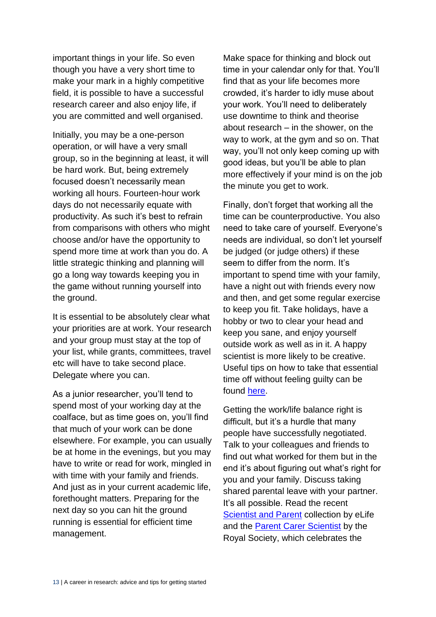important things in your life. So even though you have a very short time to make your mark in a highly competitive field, it is possible to have a successful research career and also enjoy life, if you are committed and well organised.

Initially, you may be a one-person operation, or will have a very small group, so in the beginning at least, it will be hard work. But, being extremely focused doesn't necessarily mean working all hours. Fourteen-hour work days do not necessarily equate with productivity. As such it's best to refrain from comparisons with others who might choose and/or have the opportunity to spend more time at work than you do. A little strategic thinking and planning will go a long way towards keeping you in the game without running yourself into the ground.

It is essential to be absolutely clear what your priorities are at work. Your research and your group must stay at the top of your list, while grants, committees, travel etc will have to take second place. Delegate where you can.

As a junior researcher, you'll tend to spend most of your working day at the coalface, but as time goes on, you'll find that much of your work can be done elsewhere. For example, you can usually be at home in the evenings, but you may have to write or read for work, mingled in with time with your family and friends. And just as in your current academic life, forethought matters. Preparing for the next day so you can hit the ground running is essential for efficient time management.

Make space for thinking and block out time in your calendar only for that. You'll find that as your life becomes more crowded, it's harder to idly muse about your work. You'll need to deliberately use downtime to think and theorise about research – in the shower, on the way to work, at the gym and so on. That way, you'll not only keep coming up with good ideas, but you'll be able to plan more effectively if your mind is on the job the minute you get to work.

Finally, don't forget that working all the time can be counterproductive. You also need to take care of yourself. Everyone's needs are individual, so don't let yourself be judged (or judge others) if these seem to differ from the norm. It's important to spend time with your family, have a night out with friends every now and then, and get some regular exercise to keep you fit. Take holidays, have a hobby or two to clear your head and keep you sane, and enjoy yourself outside work as well as in it. A happy scientist is more likely to be creative. Useful tips on how to take that essential time off without feeling guilty can be found [here.](http://www.sciencemag.org/careers/2017/05/yes-you-can-have-life-outside-lab)

Getting the work/life balance right is difficult, but it's a hurdle that many people have successfully negotiated. Talk to your colleagues and friends to find out what worked for them but in the end it's about figuring out what's right for you and your family. Discuss taking shared parental leave with your partner. It's all possible. Read the recent [Scientist and Parent](https://elifesciences.org/collections/29e48019/scientist-and-parent) collection by eLife and the [Parent Carer Scientist](https://royalsociety.org/topics-policy/diversity-in-science/parent-carer-scientist/) by the Royal Society, which celebrates the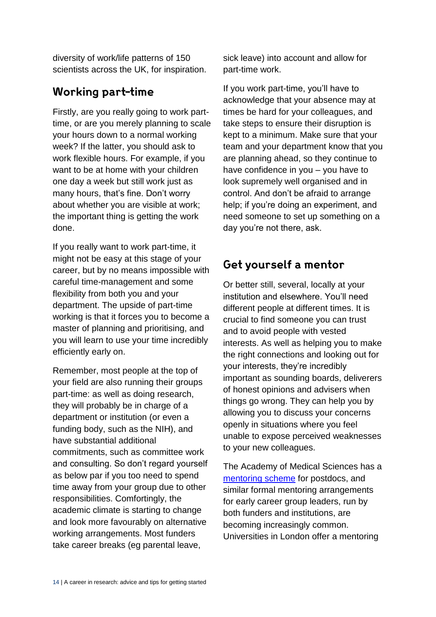diversity of work/life patterns of 150 scientists across the UK, for inspiration.

#### **Working part-time**

Firstly, are you really going to work parttime, or are you merely planning to scale your hours down to a normal working week? If the latter, you should ask to work flexible hours. For example, if you want to be at home with your children one day a week but still work just as many hours, that's fine. Don't worry about whether you are visible at work; the important thing is getting the work done.

If you really want to work part-time, it might not be easy at this stage of your career, but by no means impossible with careful time-management and some flexibility from both you and your department. The upside of part-time working is that it forces you to become a master of planning and prioritising, and you will learn to use your time incredibly efficiently early on.

Remember, most people at the top of your field are also running their groups part-time: as well as doing research, they will probably be in charge of a department or institution (or even a funding body, such as the NIH), and have substantial additional commitments, such as committee work and consulting. So don't regard yourself as below par if you too need to spend time away from your group due to other responsibilities. Comfortingly, the academic climate is starting to change and look more favourably on alternative working arrangements. Most funders take career breaks (eg parental leave,

sick leave) into account and allow for part-time work.

If you work part-time, you'll have to acknowledge that your absence may at times be hard for your colleagues, and take steps to ensure their disruption is kept to a minimum. Make sure that your team and your department know that you are planning ahead, so they continue to have confidence in you – you have to look supremely well organised and in control. And don't be afraid to arrange help; if you're doing an experiment, and need someone to set up something on a day you're not there, ask.

#### Get yourself a mentor

Or better still, several, locally at your institution and elsewhere. You'll need different people at different times. It is crucial to find someone you can trust and to avoid people with vested interests. As well as helping you to make the right connections and looking out for your interests, they're incredibly important as sounding boards, deliverers of honest opinions and advisers when things go wrong. They can help you by allowing you to discuss your concerns openly in situations where you feel unable to expose perceived weaknesses to your new colleagues.

The Academy of Medical Sciences has a [mentoring scheme](https://acmedsci.ac.uk/grants-and-schemes/mentoring-and-other-schemes/mentoring-scheme) for postdocs, and similar formal mentoring arrangements for early career group leaders, run by both funders and institutions, are becoming increasingly common. Universities in London offer a mentoring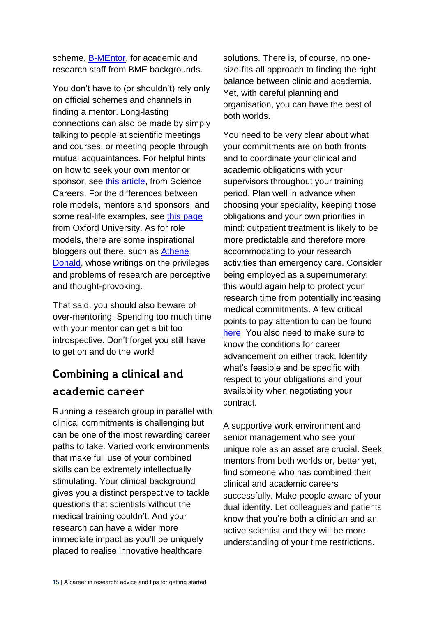scheme, [B-MEntor,](http://www.hr.qmul.ac.uk/equality/race/bmentor/) for academic and research staff from BME backgrounds.

You don't have to (or shouldn't) rely only on official schemes and channels in finding a mentor. Long-lasting connections can also be made by simply talking to people at scientific meetings and courses, or meeting people through mutual acquaintances. For helpful hints on how to seek your own mentor or sponsor, see [this article,](http://www.sciencemag.org/careers/2006/11/mind-matters-getting-yourself-mentored) from Science Careers. For the differences between role models, mentors and sponsors, and some real-life examples, see [this page](https://www.diversityprojects.ox.ac.uk/wis/topics/progression/mentors) from Oxford University. As for role models, there are some inspirational bloggers out there, such as **Athene** [Donald,](http://occamstypewriter.org/about/athene-donalds-blog/) whose writings on the privileges and problems of research are perceptive and thought-provoking.

That said, you should also beware of over-mentoring. Spending too much time with your mentor can get a bit too introspective. Don't forget you still have to get on and do the work!

#### Combining a clinical and academic career

Running a research group in parallel with clinical commitments is challenging but can be one of the most rewarding career paths to take. Varied work environments that make full use of your combined skills can be extremely intellectually stimulating. Your clinical background gives you a distinct perspective to tackle questions that scientists without the medical training couldn't. And your research can have a wider more immediate impact as you'll be uniquely placed to realise innovative healthcare

solutions. There is, of course, no onesize-fits-all approach to finding the right balance between clinic and academia. Yet, with careful planning and organisation, you can have the best of both worlds.

You need to be very clear about what your commitments are on both fronts and to coordinate your clinical and academic obligations with your supervisors throughout your training period. Plan well in advance when choosing your speciality, keeping those obligations and your own priorities in mind: outpatient treatment is likely to be more predictable and therefore more accommodating to your research activities than emergency care. Consider being employed as a supernumerary: this would again help to protect your research time from potentially increasing medical commitments. A few critical points to pay attention to can be found [here.](https://wellcome.ac.uk/sites/default/files/Clinical-principles-and-obligations-2017-12.pdf) You also need to make sure to know the conditions for career advancement on either track. Identify what's feasible and be specific with respect to your obligations and your availability when negotiating your contract.

A supportive work environment and senior management who see your unique role as an asset are crucial. Seek mentors from both worlds or, better yet, find someone who has combined their clinical and academic careers successfully. Make people aware of your dual identity. Let colleagues and patients know that you're both a clinician and an active scientist and they will be more understanding of your time restrictions.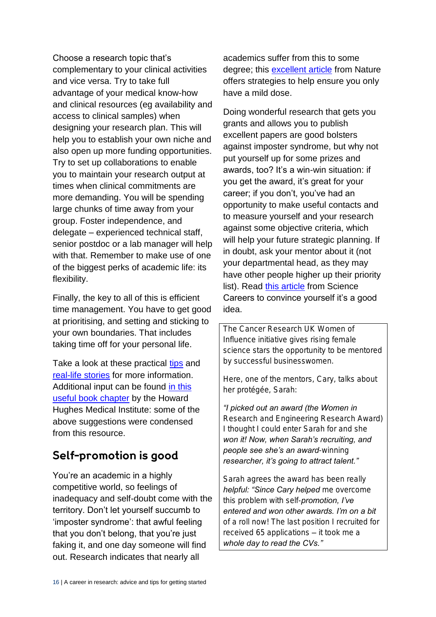Choose a research topic that's complementary to your clinical activities and vice versa. Try to take full advantage of your medical know-how and clinical resources (eg availability and access to clinical samples) when designing your research plan. This will help you to establish your own niche and also open up more funding opportunities. Try to set up collaborations to enable you to maintain your research output at times when clinical commitments are more demanding. You will be spending large chunks of time away from your group. Foster independence, and delegate – experienced technical staff, senior postdoc or a lab manager will help with that. Remember to make use of one of the biggest perks of academic life: its flexibility.

Finally, the key to all of this is efficient time management. You have to get good at prioritising, and setting and sticking to your own boundaries. That includes taking time off for your personal life.

Take a look at these practical [tips](http://www.sciencemag.org/careers/2010/05/perspective-successful-physician-scientist-21st-century) and [real-life stories](https://www.bma.org.uk/-/media/files/pdfs/developing%20your%20career/studying%20medicine/role%20of%20the%20medical%20academic%202014.pdf?la=en) for more information. Additional input can be found [in this](http://www.hhmi.org/sites/default/files/Educational%20Materials/Lab%20Management/Making%20the%20Right%20Moves/moves2_ch6.pdf#page=3)  [useful book chapter](http://www.hhmi.org/sites/default/files/Educational%20Materials/Lab%20Management/Making%20the%20Right%20Moves/moves2_ch6.pdf#page=3) by the Howard Hughes Medical Institute: some of the above suggestions were condensed from this resource.

#### Self-promotion is good

You're an academic in a highly competitive world, so feelings of inadequacy and self-doubt come with the territory. Don't let yourself succumb to 'imposter syndrome': that awful feeling that you don't belong, that you're just faking it, and one day someone will find out. Research indicates that nearly all

academics suffer from this to some degree; this [excellent article](https://www.nature.com/naturejobs/science/articles/10.1038/nj7245-468a) from Nature offers strategies to help ensure you only have a mild dose.

Doing wonderful research that gets you grants and allows you to publish excellent papers are good bolsters against imposter syndrome, but why not put yourself up for some prizes and awards, too? It's a win-win situation: if you get the award, it's great for your career; if you don't, you've had an opportunity to make useful contacts and to measure yourself and your research against some objective criteria, which will help your future strategic planning. If in doubt, ask your mentor about it (not your departmental head, as they may have other people higher up their priority list). Read [this article](http://www.sciencemag.org/careers/2017/05/benefits-awards-even-if-you-don-t-win) from Science Careers to convince yourself it's a good idea.

*The Cancer Research UK Women of Influence initiative gives rising female science stars the opportunity to be mentored by successful businesswomen.* 

*Here, one of the mentors, Cary, talks about her protégée, Sarah:* 

*"I picked out an award (the Women in Research and Engineering Research Award) I thought I could enter Sarah for and she won it! Now, when Sarah's recruiting, and people see she's an award-winning researcher, it's going to attract talent."*

*Sarah agrees the award has been really helpful: "Since Cary helped me overcome this problem with self-promotion, I've entered and won other awards. I'm on a bit of a roll now! The last position I recruited for received 65 applications – it took me a whole day to read the CVs."*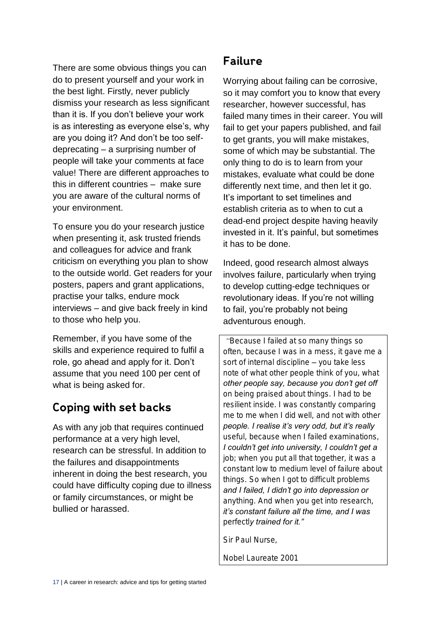There are some obvious things you can do to present yourself and your work in the best light. Firstly, never publicly dismiss your research as less significant than it is. If you don't believe your work is as interesting as everyone else's, why are you doing it? And don't be too selfdeprecating – a surprising number of people will take your comments at face value! There are different approaches to this in different countries – make sure you are aware of the cultural norms of your environment.

To ensure you do your research justice when presenting it, ask trusted friends and colleagues for advice and frank criticism on everything you plan to show to the outside world. Get readers for your posters, papers and grant applications, practise your talks, endure mock interviews – and give back freely in kind to those who help you.

Remember, if you have some of the skills and experience required to fulfil a role, go ahead and apply for it. Don't assume that you need 100 per cent of what is being asked for.

#### Coping with set backs

As with any job that requires continued performance at a very high level, research can be stressful. In addition to the failures and disappointments inherent in doing the best research, you could have difficulty coping due to illness or family circumstances, or might be bullied or harassed.

#### **Failure**

Worrying about failing can be corrosive, so it may comfort you to know that every researcher, however successful, has failed many times in their career. You will fail to get your papers published, and fail to get grants, you will make mistakes, some of which may be substantial. The only thing to do is to learn from your mistakes, evaluate what could be done differently next time, and then let it go. It's important to set timelines and establish criteria as to when to cut a dead-end project despite having heavily invested in it. It's painful, but sometimes it has to be done.

Indeed, good research almost always involves failure, particularly when trying to develop cutting-edge techniques or revolutionary ideas. If you're not willing to fail, you're probably not being adventurous enough.

*"Because I failed at so many things so often, because I was in a mess, it gave me a sort of internal discipline – you take less note of what other people think of you, what other people say, because you don't get off on being praised about things. I had to be resilient inside. I was constantly comparing me to me when I did well, and not with other people. I realise it's very odd, but it's really useful, because when I failed examinations, I couldn't get into university, I couldn't get a job; when you put all that together, it was a constant low to medium level of failure about things. So when I got to difficult problems and I failed, I didn't go into depression or anything. And when you get into research, it's constant failure all the time, and I was perfectly trained for it."* 

*Sir Paul Nurse,* 

*Nobel Laureate 2001*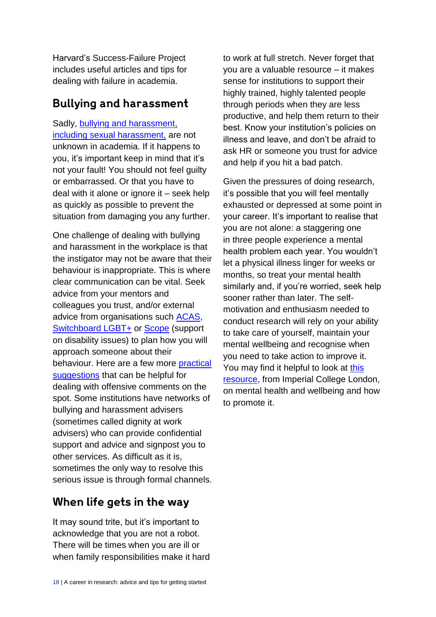Harvard's [Success-Failure Project](https://successfailureproject.bsc.harvard.edu/resilience) includes useful articles and tips for dealing with failure in academia.

#### **Bullying and harassment**

Sadly, [bullying and harassment,](http://www.acas.org.uk/index.aspx?articleid=1864) including sexual harassment, are not unknown in academia. If it happens to you, it's important keep in mind that it's not your fault! You should not feel guilty or embarrassed. Or that you have to deal with it alone or ignore it – seek help as quickly as possible to prevent the situation from damaging you any further.

One challenge of dealing with bullying and harassment in the workplace is that the instigator may not be aware that their behaviour is inappropriate. This is where clear communication can be vital. Seek advice from your mentors and colleagues you trust, and/or external advice from organisations such [ACAS,](http://www.acas.org.uk/index.aspx?articleid=1461) [Switchboard LGBT+](https://switchboard.lgbt/) or [Scope](https://www.scope.org.uk/about-us/contact-us/helpline) (support on disability issues) to plan how you will approach someone about their behaviour. Here are a few more [practical](http://www.dianegoodman.com/documents/RespondingToBiasedOrOffensiveCommentsexcerptarticle.pdf)  [suggestions](http://www.dianegoodman.com/documents/RespondingToBiasedOrOffensiveCommentsexcerptarticle.pdf) that can be helpful for dealing with offensive comments on the spot. Some institutions have networks of bullying and harassment advisers (sometimes called dignity at work advisers) who can provide confidential support and advice and signpost you to other services. As difficult as it is, sometimes the only way to resolve this serious issue is through formal channels.

#### When life gets in the way

It may sound trite, but it's important to acknowledge that you are not a robot. There will be times when you are ill or when family responsibilities make it hard to work at full stretch. Never forget that you are a valuable resource – it makes sense for institutions to support their highly trained, highly talented people through periods when they are less productive, and help them return to their best. Know your institution's policies on illness and leave, and don't be afraid to ask HR or someone you trust for advice and help if you hit a bad patch.

Given the pressures of doing research, it's possible that you will feel mentally exhausted or depressed at some point in your career. It's important to realise that you are not alone: a staggering one in three people experience a mental health problem each year. You wouldn't let a physical illness linger for weeks or months, so treat your mental health similarly and, if you're worried, seek help sooner rather than later. The selfmotivation and enthusiasm needed to conduct research will rely on your ability to take care of yourself, maintain your mental wellbeing and recognise when you need to take action to improve it. You may find it helpful to look at this [resource,](https://www.imperial.ac.uk/health-and-wellbeing/mental-health/) from Imperial College London, on mental health and wellbeing and how to promote it.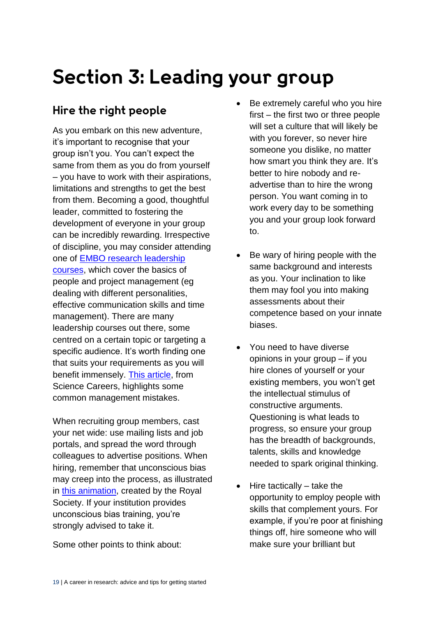### Section 3: Leading your group

#### Hire the right people

As you embark on this new adventure, it's important to recognise that your group isn't you. You can't expect the same from them as you do from yourself – you have to work with their aspirations, limitations and strengths to get the best from them. Becoming a good, thoughtful leader, committed to fostering the development of everyone in your group can be incredibly rewarding. Irrespective of discipline, you may consider attending one of [EMBO research leadership](http://lab-management.embo.org/dates)  [courses,](http://lab-management.embo.org/dates) which cover the basics of people and project management (eg dealing with different personalities, effective communication skills and time management). There are many leadership courses out there, some centred on a certain topic or targeting a specific audience. It's worth finding one that suits your requirements as you will benefit immensely. [This article,](http://www.sciencemag.org/careers/2003/07/helm-avoiding-management-mistakes) from Science Careers, highlights some common management mistakes.

When recruiting group members, cast your net wide: use mailing lists and job portals, and spread the word through colleagues to advertise positions. When hiring, remember that unconscious bias may creep into the process, as illustrated in [this animation,](https://royalsociety.org/topics-policy/publications/2015/unconscious-bias/) created by the Royal Society. If your institution provides unconscious bias training, you're strongly advised to take it.

Some other points to think about:

- Be extremely careful who you hire first – the first two or three people will set a culture that will likely be with you forever, so never hire someone you dislike, no matter how smart you think they are. It's better to hire nobody and readvertise than to hire the wrong person. You want coming in to work every day to be something you and your group look forward to.
- Be wary of hiring people with the same background and interests as you. Your inclination to like them may fool you into making assessments about their competence based on your innate biases.
- You need to have diverse opinions in your group – if you hire clones of yourself or your existing members, you won't get the intellectual stimulus of constructive arguments. Questioning is what leads to progress, so ensure your group has the breadth of backgrounds, talents, skills and knowledge needed to spark original thinking.
- Hire tactically take the opportunity to employ people with skills that complement yours. For example, if you're poor at finishing things off, hire someone who will make sure your brilliant but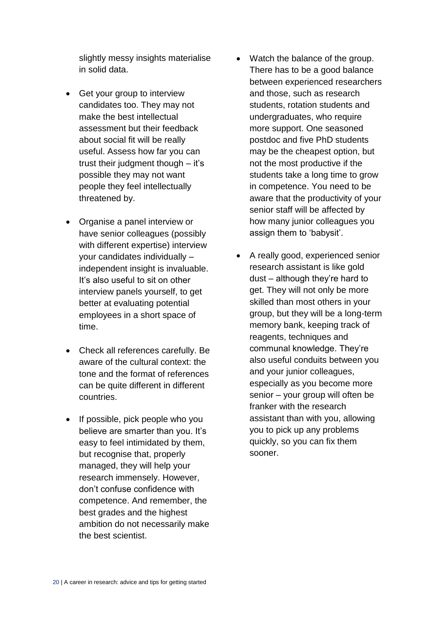slightly messy insights materialise in solid data.

- Get your group to interview candidates too. They may not make the best intellectual assessment but their feedback about social fit will be really useful. Assess how far you can trust their judgment though – it's possible they may not want people they feel intellectually threatened by.
- Organise a panel interview or have senior colleagues (possibly with different expertise) interview your candidates individually – independent insight is invaluable. It's also useful to sit on other interview panels yourself, to get better at evaluating potential employees in a short space of time.
- Check all references carefully. Be aware of the cultural context: the tone and the format of references can be quite different in different countries.
- If possible, pick people who you believe are smarter than you. It's easy to feel intimidated by them, but recognise that, properly managed, they will help your research immensely. However, don't confuse confidence with competence. And remember, the best grades and the highest ambition do not necessarily make the best scientist.
- Watch the balance of the group. There has to be a good balance between experienced researchers and those, such as research students, rotation students and undergraduates, who require more support. One seasoned postdoc and five PhD students may be the cheapest option, but not the most productive if the students take a long time to grow in competence. You need to be aware that the productivity of your senior staff will be affected by how many junior colleagues you assign them to 'babysit'.
- A really good, experienced senior research assistant is like gold dust – although they're hard to get. They will not only be more skilled than most others in your group, but they will be a long-term memory bank, keeping track of reagents, techniques and communal knowledge. They're also useful conduits between you and your junior colleagues, especially as you become more senior – your group will often be franker with the research assistant than with you, allowing you to pick up any problems quickly, so you can fix them sooner.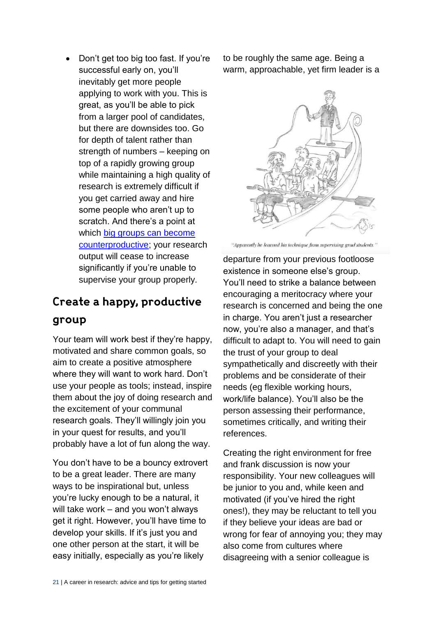Don't get too big too fast. If you're successful early on, you'll inevitably get more people applying to work with you. This is great, as you'll be able to pick from a larger pool of candidates, but there are downsides too. Go for depth of talent rather than strength of numbers – keeping on top of a rapidly growing group while maintaining a high quality of research is extremely difficult if you get carried away and hire some people who aren't up to scratch. And there's a point at which [big groups can become](http://www.sciencemag.org/careers/2015/03/staffing-labs-optimal-productivity)  [counterproductive;](http://www.sciencemag.org/careers/2015/03/staffing-labs-optimal-productivity) your research output will cease to increase significantly if you're unable to supervise your group properly.

### Create a happy, productive group

Your team will work best if they're happy, motivated and share common goals, so aim to create a positive atmosphere where they will want to work hard. Don't use your people as tools; instead, inspire them about the joy of doing research and the excitement of your communal research goals. They'll willingly join you in your quest for results, and you'll probably have a lot of fun along the way.

You don't have to be a bouncy extrovert to be a great leader. There are many ways to be inspirational but, unless you're lucky enough to be a natural, it will take work – and you won't always get it right. However, you'll have time to develop your skills. If it's just you and one other person at the start, it will be easy initially, especially as you're likely

to be roughly the same age. Being a warm, approachable, yet firm leader is a



"Apparently he learned his technique from supervising grad students."

departure from your previous footloose existence in someone else's group. You'll need to strike a balance between encouraging a meritocracy where your research is concerned and being the one in charge. You aren't just a researcher now, you're also a manager, and that's difficult to adapt to. You will need to gain the trust of your group to deal sympathetically and discreetly with their problems and be considerate of their needs (eg flexible working hours, work/life balance). You'll also be the person assessing their performance, sometimes critically, and writing their references.

Creating the right environment for free and frank discussion is now your responsibility. Your new colleagues will be junior to you and, while keen and motivated (if you've hired the right ones!), they may be reluctant to tell you if they believe your ideas are bad or wrong for fear of annoying you; they may also come from cultures where disagreeing with a senior colleague is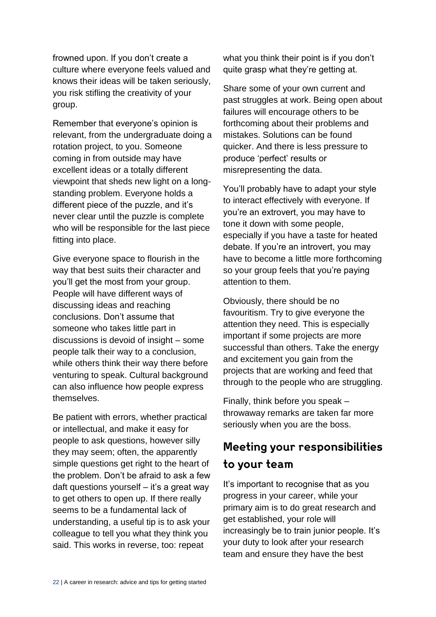frowned upon. If you don't create a culture where everyone feels valued and knows their ideas will be taken seriously, you risk stifling the creativity of your group.

Remember that everyone's opinion is relevant, from the undergraduate doing a rotation project, to you. Someone coming in from outside may have excellent ideas or a totally different viewpoint that sheds new light on a longstanding problem. Everyone holds a different piece of the puzzle, and it's never clear until the puzzle is complete who will be responsible for the last piece fitting into place.

Give everyone space to flourish in the way that best suits their character and you'll get the most from your group. People will have different ways of discussing ideas and reaching conclusions. Don't assume that someone who takes little part in discussions is devoid of insight – some people talk their way to a conclusion, while others think their way there before venturing to speak. Cultural background can also influence how people express themselves.

Be patient with errors, whether practical or intellectual, and make it easy for people to ask questions, however silly they may seem; often, the apparently simple questions get right to the heart of the problem. Don't be afraid to ask a few daft questions yourself – it's a great way to get others to open up. If there really seems to be a fundamental lack of understanding, a useful tip is to ask your colleague to tell you what they think you said. This works in reverse, too: repeat

what you think their point is if you don't quite grasp what they're getting at.

Share some of your own current and past struggles at work. Being open about failures will encourage others to be forthcoming about their problems and mistakes. Solutions can be found quicker. And there is less pressure to produce 'perfect' results or misrepresenting the data.

You'll probably have to adapt your style to interact effectively with everyone. If you're an extrovert, you may have to tone it down with some people, especially if you have a taste for heated debate. If you're an introvert, you may have to become a little more forthcoming so your group feels that you're paying attention to them.

Obviously, there should be no favouritism. Try to give everyone the attention they need. This is especially important if some projects are more successful than others. Take the energy and excitement you gain from the projects that are working and feed that through to the people who are struggling.

Finally, think before you speak – throwaway remarks are taken far more seriously when you are the boss.

### Meeting your responsibilities to your team

It's important to recognise that as you progress in your career, while your primary aim is to do great research and get established, your role will increasingly be to train junior people. It's your duty to look after your research team and ensure they have the best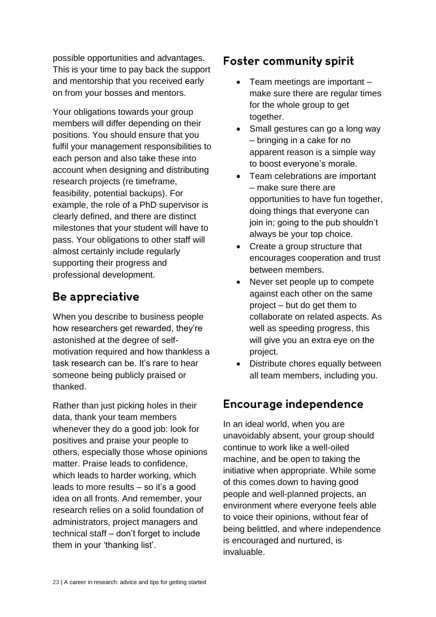possible opportunities and advantages. This is your time to pay back the support and mentorship that you received early on from your bosses and mentors.

Your obligations towards your group members will differ depending on their positions. You should ensure that you fulfil your management responsibilities to each person and also take these into account when designing and distributing research projects (re timeframe, feasibility, potential backups). For example, the role of a PhD supervisor is clearly defined, and there are distinct milestones that your student will have to pass. Your obligations to other staff will almost certainly include regularly supporting their progress and professional development.

#### Be appreciative

When you describe to business people how researchers get rewarded, they're astonished at the degree of selfmotivation required and how thankless a task research can be. It's rare to hear someone being publicly praised or thanked.

Rather than just picking holes in their data, thank your team members whenever they do a good job: look for positives and praise your people to others, especially those whose opinions matter. Praise leads to confidence, which leads to harder working, which leads to more results – so it's a good idea on all fronts. And remember, your research relies on a solid foundation of administrators, project managers and technical staff – don't forget to include them in your 'thanking list'.

#### **Foster community spirit**

- Team meetings are important make sure there are regular times for the whole group to get together.
- Small gestures can go a long way – bringing in a cake for no apparent reason is a simple way to boost everyone's morale.
- Team celebrations are important – make sure there are opportunities to have fun together, doing things that everyone can join in; going to the pub shouldn't always be your top choice.
- Create a group structure that encourages cooperation and trust between members.
- Never set people up to compete against each other on the same project – but do get them to collaborate on related aspects. As well as speeding progress, this will give you an extra eye on the project.
- Distribute chores equally between all team members, including you.

#### **Encourage independence**

In an ideal world, when you are unavoidably absent, your group should continue to work like a well-oiled machine, and be open to taking the initiative when appropriate. While some of this comes down to having good people and well-planned projects, an environment where everyone feels able to voice their opinions, without fear of being belittled, and where independence is encouraged and nurtured, is invaluable.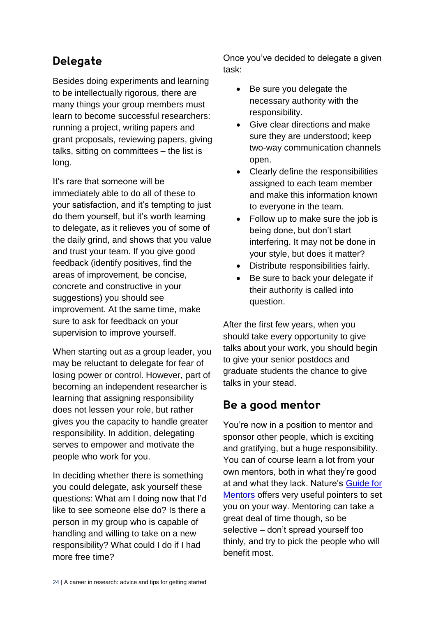#### Delegate

Besides doing experiments and learning to be intellectually rigorous, there are many things your group members must learn to become successful researchers: running a project, writing papers and grant proposals, reviewing papers, giving talks, sitting on committees – the list is long.

It's rare that someone will be immediately able to do all of these to your satisfaction, and it's tempting to just do them yourself, but it's worth learning to delegate, as it relieves you of some of the daily grind, and shows that you value and trust your team. If you give good feedback (identify positives, find the areas of improvement, be concise, concrete and constructive in your suggestions) you should see improvement. At the same time, make sure to ask for feedback on your supervision to improve yourself.

When starting out as a group leader, you may be reluctant to delegate for fear of losing power or control. However, part of becoming an independent researcher is learning that assigning responsibility does not lessen your role, but rather gives you the capacity to handle greater responsibility. In addition, delegating serves to empower and motivate the people who work for you.

In deciding whether there is something you could delegate, ask yourself these questions: What am I doing now that I'd like to see someone else do? Is there a person in my group who is capable of handling and willing to take on a new responsibility? What could I do if I had more free time?

Once you've decided to delegate a given task:

- Be sure you delegate the necessary authority with the responsibility.
- Give clear directions and make sure they are understood; keep two-way communication channels open.
- Clearly define the responsibilities assigned to each team member and make this information known to everyone in the team.
- Follow up to make sure the job is being done, but don't start interfering. It may not be done in your style, but does it matter?
- Distribute responsibilities fairly.
- Be sure to back your delegate if their authority is called into question.

After the first few years, when you should take every opportunity to give talks about your work, you should begin to give your senior postdocs and graduate students the chance to give talks in your stead.

#### Be a good mentor

You're now in a position to mentor and sponsor other people, which is exciting and gratifying, but a huge responsibility. You can of course learn a lot from your own mentors, both in what they're good at and what they lack. Nature's [Guide for](http://www.nature.com/nature/journal/v447/n7146/full/447791a.html)  [Mentors](http://www.nature.com/nature/journal/v447/n7146/full/447791a.html) offers very useful pointers to set you on your way. Mentoring can take a great deal of time though, so be selective – don't spread yourself too thinly, and try to pick the people who will benefit most.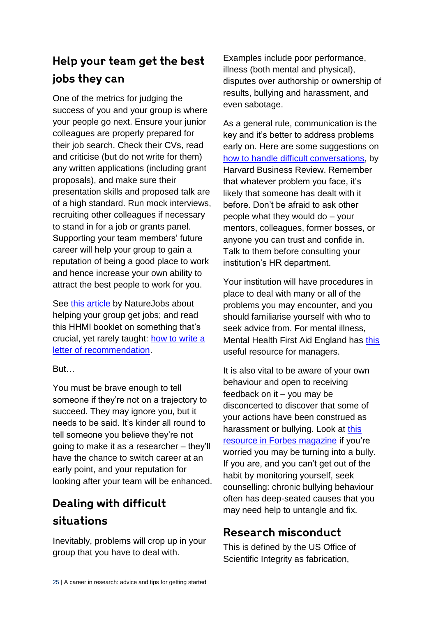#### Help your team get the best jobs they can

One of the metrics for judging the success of you and your group is where your people go next. Ensure your junior colleagues are properly prepared for their job search. Check their CVs, read and criticise (but do not write for them) any written applications (including grant proposals), and make sure their presentation skills and proposed talk are of a high standard. Run mock interviews, recruiting other colleagues if necessary to stand in for a job or grants panel. Supporting your team members' future career will help your group to gain a reputation of being a good place to work and hence increase your own ability to attract the best people to work for you.

See [this article](https://www.nature.com/naturejobs/science/articles/10.1038/nj7353-667a) by NatureJobs about helping your group get jobs; and read this HHMI booklet on something that's crucial, yet rarely taught: [how to write a](https://www.hhmi.org/sites/default/files/Educational%20Materials/Lab%20Management/letter.pdf)  [letter of recommendation.](https://www.hhmi.org/sites/default/files/Educational%20Materials/Lab%20Management/letter.pdf)

**But** 

You must be brave enough to tell someone if they're not on a trajectory to succeed. They may ignore you, but it needs to be said. It's kinder all round to tell someone you believe they're not going to make it as a researcher – they'll have the chance to switch career at an early point, and your reputation for looking after your team will be enhanced.

#### Dealing with difficult situations

Inevitably, problems will crop up in your group that you have to deal with.

Examples include poor performance, illness (both mental and physical), disputes over authorship or ownership of results, bullying and harassment, and even sabotage.

As a general rule, communication is the key and it's better to address problems early on. Here are some suggestions on [how to handle difficult conversations,](https://hbr.org/2017/05/how-to-have-difficult-conversations-when-you-dont-like-conflict) by Harvard Business Review. Remember that whatever problem you face, it's likely that someone has dealt with it before. Don't be afraid to ask other people what they would do – your mentors, colleagues, former bosses, or anyone you can trust and confide in. Talk to them before consulting your institution's HR department.

Your institution will have procedures in place to deal with many or all of the problems you may encounter, and you should familiarise yourself with who to seek advice from. For mental illness, Mental Health First Aid England has [this](http://www.ncl.ac.uk/hr/assets/documents/mhfa_line_managers_resource1_update_oct_13_jes.pdf) [useful resource](http://www.ncl.ac.uk/hr/assets/documents/mhfa_line_managers_resource1_update_oct_13_jes.pdf) for managers.

It is also vital to be aware of your own behaviour and open to receiving feedback on it  $-$  you may be disconcerted to discover that some of your actions have been construed as harassment or bullying. Look at [this](https://www.forbes.com/forbes/welcome/?toURL=https%3A//www.forbes.com/pictures/lml45ijii/12-signs-you-might-be-a-bully/&refURL=https%3A//www.google.co.uk/&referrer=https%3A//www.google.co.uk/)  [resource in Forbes magazine](https://www.forbes.com/forbes/welcome/?toURL=https%3A//www.forbes.com/pictures/lml45ijii/12-signs-you-might-be-a-bully/&refURL=https%3A//www.google.co.uk/&referrer=https%3A//www.google.co.uk/) if you're worried you may be turning into a bully. If you are, and you can't get out of the habit by monitoring yourself, seek counselling: chronic bullying behaviour often has deep-seated causes that you may need help to untangle and fix.

#### Research misconduct

This is defined by the US Office of Scientific Integrity as fabrication,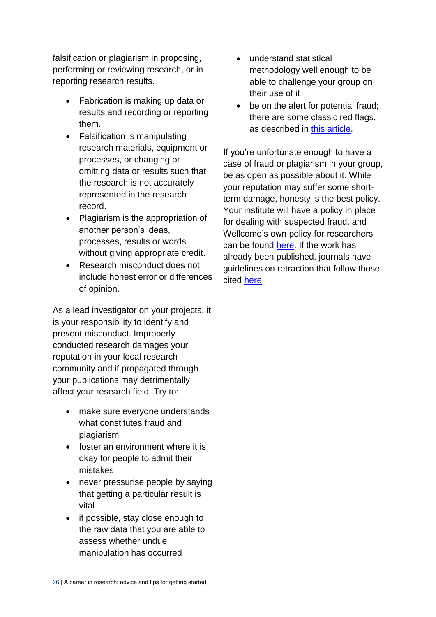falsification or plagiarism in proposing, performing or reviewing research, or in reporting research results.

- Fabrication is making up data or results and recording or reporting them.
- Falsification is manipulating research materials, equipment or processes, or changing or omitting data or results such that the research is not accurately represented in the research record.
- Plagiarism is the appropriation of another person's ideas, processes, results or words without giving appropriate credit.
- Research misconduct does not include honest error or differences of opinion.

As a lead investigator on your projects, it is your responsibility to identify and prevent misconduct. Improperly conducted research damages your reputation in your local research community and if propagated through your publications may detrimentally affect your research field. Try to:

- make sure everyone understands what constitutes fraud and plagiarism
- foster an environment where it is okay for people to admit their mistakes
- never pressurise people by saying that getting a particular result is vital
- if possible, stay close enough to the raw data that you are able to assess whether undue manipulation has occurred
- understand statistical methodology well enough to be able to challenge your group on their use of it
- be on the alert for potential fraud; there are some classic red flags, as described in [this article.](http://www.the-scientist.com/?articles.view/articleNo/44582/title/Scientific-Misconduct--Red-Flags/)

If you're unfortunate enough to have a case of fraud or plagiarism in your group, be as open as possible about it. While your reputation may suffer some shortterm damage, honesty is the best policy. Your institute will have a policy in place for dealing with suspected fraud, and Wellcome's own policy for researchers can be found [here.](https://wellcome.ac.uk/funding/managing-grant/research-misconduct) If the work has already been published, journals have guidelines on retraction that follow those cited [here.](https://publicationethics.org/files/retraction%20guidelines_0.pdf)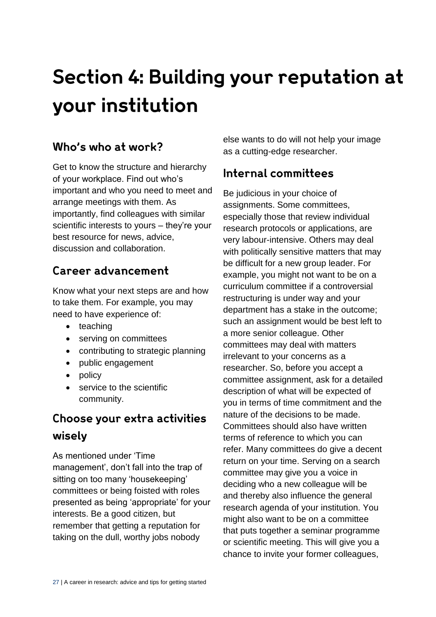## Section 4: Building your reputation at **vour institution**

#### Who's who at work?

Get to know the structure and hierarchy of your workplace. Find out who's important and who you need to meet and arrange meetings with them. As importantly, find colleagues with similar scientific interests to yours – they're your best resource for news, advice, discussion and collaboration.

#### Career advancement

Know what your next steps are and how to take them. For example, you may need to have experience of:

- teaching
- serving on committees
- contributing to strategic planning
- public engagement
- policy
- service to the scientific community.

#### Choose your extra activities wisely

As mentioned under 'Time management', don't fall into the trap of sitting on too many 'housekeeping' committees or being foisted with roles presented as being 'appropriate' for your interests. Be a good citizen, but remember that getting a reputation for taking on the dull, worthy jobs nobody

else wants to do will not help your image as a cutting-edge researcher.

#### Internal committees

Be judicious in your choice of assignments. Some committees, especially those that review individual research protocols or applications, are very labour-intensive. Others may deal with politically sensitive matters that may be difficult for a new group leader. For example, you might not want to be on a curriculum committee if a controversial restructuring is under way and your department has a stake in the outcome; such an assignment would be best left to a more senior colleague. Other committees may deal with matters irrelevant to your concerns as a researcher. So, before you accept a committee assignment, ask for a detailed description of what will be expected of you in terms of time commitment and the nature of the decisions to be made. Committees should also have written terms of reference to which you can refer. Many committees do give a decent return on your time. Serving on a search committee may give you a voice in deciding who a new colleague will be and thereby also influence the general research agenda of your institution. You might also want to be on a committee that puts together a seminar programme or scientific meeting. This will give you a chance to invite your former colleagues,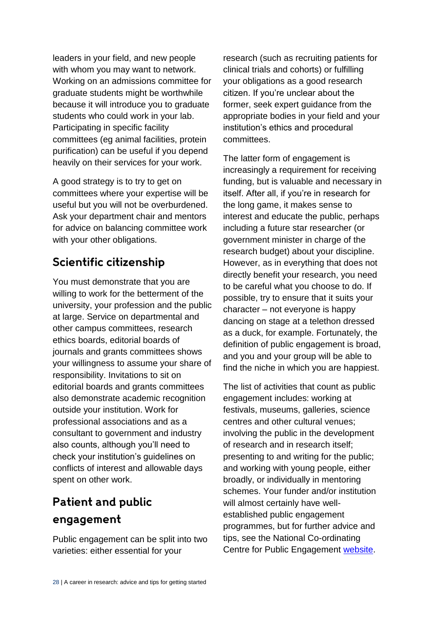leaders in your field, and new people with whom you may want to network. Working on an admissions committee for graduate students might be worthwhile because it will introduce you to graduate students who could work in your lab. Participating in specific facility committees (eg animal facilities, protein purification) can be useful if you depend heavily on their services for your work.

A good strategy is to try to get on committees where your expertise will be useful but you will not be overburdened. Ask your department chair and mentors for advice on balancing committee work with your other obligations.

#### Scientific citizenship

You must demonstrate that you are willing to work for the betterment of the university, your profession and the public at large. Service on departmental and other campus committees, research ethics boards, editorial boards of journals and grants committees shows your willingness to assume your share of responsibility. Invitations to sit on editorial boards and grants committees also demonstrate academic recognition outside your institution. Work for professional associations and as a consultant to government and industry also counts, although you'll need to check your institution's guidelines on conflicts of interest and allowable days spent on other work.

#### **Patient and public** engagement

Public engagement can be split into two varieties: either essential for your

research (such as recruiting patients for clinical trials and cohorts) or fulfilling your obligations as a good research citizen. If you're unclear about the former, seek expert guidance from the appropriate bodies in your field and your institution's ethics and procedural committees.

The latter form of engagement is increasingly a requirement for receiving funding, but is valuable and necessary in itself. After all, if you're in research for the long game, it makes sense to interest and educate the public, perhaps including a future star researcher (or government minister in charge of the research budget) about your discipline. However, as in everything that does not directly benefit your research, you need to be careful what you choose to do. If possible, try to ensure that it suits your character – not everyone is happy dancing on stage at a telethon dressed as a duck, for example. Fortunately, the definition of public engagement is broad, and you and your group will be able to find the niche in which you are happiest.

The list of activities that count as public engagement includes: working at festivals, museums, galleries, science centres and other cultural venues; involving the public in the development of research and in research itself; presenting to and writing for the public; and working with young people, either broadly, or individually in mentoring schemes. Your funder and/or institution will almost certainly have wellestablished public engagement programmes, but for further advice and tips, see the National Co-ordinating Centre for Public Engagement [website.](https://www.publicengagement.ac.uk/)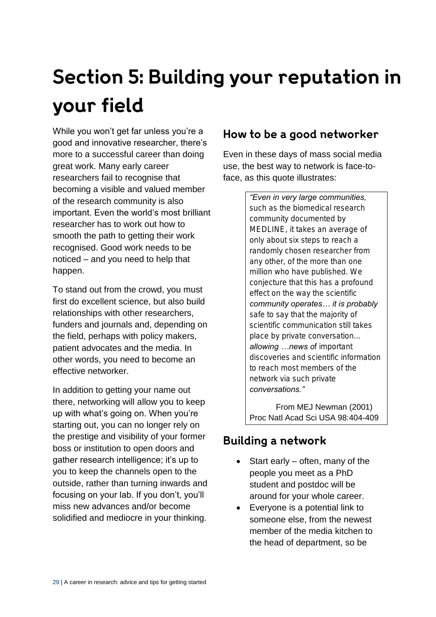## Section 5: Building your reputation in your field

While you won't get far unless you're a good and innovative researcher, there's more to a successful career than doing great work. Many early career researchers fail to recognise that becoming a visible and valued member of the research community is also important. Even the world's most brilliant researcher has to work out how to smooth the path to getting their work recognised. Good work needs to be noticed – and you need to help that happen.

To stand out from the crowd, you must first do excellent science, but also build relationships with other researchers, funders and journals and, depending on the field, perhaps with policy makers, patient advocates and the media. In other words, you need to become an effective networker.

In addition to getting your name out there, networking will allow you to keep up with what's going on. When you're starting out, you can no longer rely on the prestige and visibility of your former boss or institution to open doors and gather research intelligence; it's up to you to keep the channels open to the outside, rather than turning inwards and focusing on your lab. If you don't, you'll miss new advances and/or become solidified and mediocre in your thinking.

#### How to be a good networker

Even in these days of mass social media use, the best way to network is face-toface, as this quote illustrates:

> *"Even in very large communities, such as the biomedical research community documented by MEDLINE, it takes an average of only about six steps to reach a randomly chosen researcher from any other, of the more than one million who have published. We conjecture that this has a profound effect on the way the scientific community operates… it is probably safe to say that the majority of scientific communication still takes place by private conversation... allowing …news of important discoveries and scientific information to reach most members of the network via such private conversations."*

From MEJ Newman (2001) Proc Natl Acad Sci USA 98:404-409

#### **Building a network**

- Start early often, many of the people you meet as a PhD student and postdoc will be around for your whole career.
- Everyone is a potential link to someone else, from the newest member of the media kitchen to the head of department, so be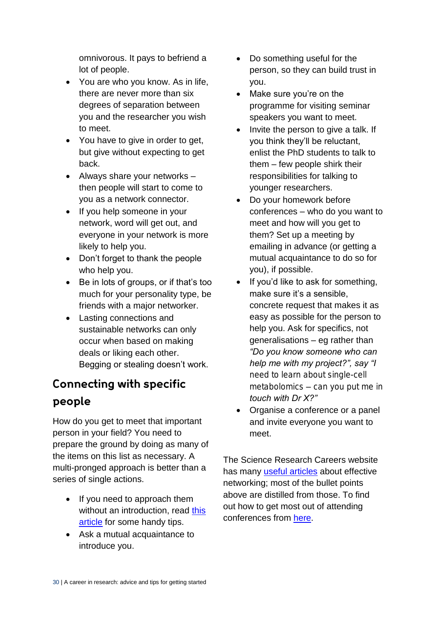omnivorous. It pays to befriend a lot of people.

- You are who you know. As in life, there are never more than six degrees of separation between you and the researcher you wish to meet.
- You have to give in order to get, but give without expecting to get back.
- Always share your networks then people will start to come to you as a network connector.
- If you help someone in your network, word will get out, and everyone in your network is more likely to help you.
- Don't forget to thank the people who help you.
- Be in lots of groups, or if that's too much for your personality type, be friends with a major networker.
- Lasting connections and sustainable networks can only occur when based on making deals or liking each other. Begging or stealing doesn't work.

#### **Connecting with specific** people

How do you get to meet that important person in your field? You need to prepare the ground by doing as many of the items on this list as necessary. A multi-pronged approach is better than a series of single actions.

- If you need to approach them without an introduction, read this [article](http://www.sciencemag.org/careers/2016/09/networking-dr-god) for some handy tips.
- Ask a mutual acquaintance to introduce you.
- Do something useful for the person, so they can build trust in you.
- Make sure you're on the programme for visiting seminar speakers you want to meet.
- Invite the person to give a talk. If you think they'll be reluctant, enlist the PhD students to talk to them – few people shirk their responsibilities for talking to younger researchers.
- Do your homework before conferences – who do you want to meet and how will you get to them? Set up a meeting by emailing in advance (or getting a mutual acquaintance to do so for you), if possible.
- If you'd like to ask for something, make sure it's a sensible, concrete request that makes it as easy as possible for the person to help you. Ask for specifics, not generalisations – eg rather than *"Do you know someone who can help me with my project?", say "I need to learn about single-cell metabolomics – can you put me in touch with Dr X?"*
- Organise a conference or a panel and invite everyone you want to meet.

The Science Research Careers website has many [useful articles](http://www.sciencemag.org/careers/2004/03/network-your-way-work-index-articles) about effective networking; most of the bullet points above are distilled from those. To find out how to get most out of attending conferences from [here.](http://www.sciencemag.org/careers/2017/05/how-get-most-out-attending-conferences)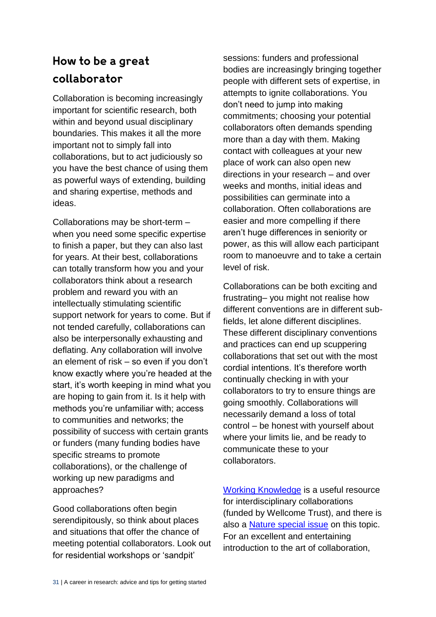#### How to be a great collaborator

Collaboration is becoming increasingly important for scientific research, both within and beyond usual disciplinary boundaries. This makes it all the more important not to simply fall into collaborations, but to act judiciously so you have the best chance of using them as powerful ways of extending, building and sharing expertise, methods and ideas.

Collaborations may be short-term – when you need some specific expertise to finish a paper, but they can also last for years. At their best, collaborations can totally transform how you and your collaborators think about a research problem and reward you with an intellectually stimulating scientific support network for years to come. But if not tended carefully, collaborations can also be interpersonally exhausting and deflating. Any collaboration will involve an element of risk – so even if you don't know exactly where you're headed at the start, it's worth keeping in mind what you are hoping to gain from it. Is it help with methods you're unfamiliar with; access to communities and networks; the possibility of success with certain grants or funders (many funding bodies have specific streams to promote collaborations), or the challenge of working up new paradigms and approaches?

Good collaborations often begin serendipitously, so think about places and situations that offer the chance of meeting potential collaborators. Look out for residential workshops or 'sandpit'

sessions: funders and professional bodies are increasingly bringing together people with different sets of expertise, in attempts to ignite collaborations. You don't need to jump into making commitments; choosing your potential collaborators often demands spending more than a day with them. Making contact with colleagues at your new place of work can also open new directions in your research – and over weeks and months, initial ideas and possibilities can germinate into a collaboration. Often collaborations are easier and more compelling if there aren't huge differences in seniority or power, as this will allow each participant room to manoeuvre and to take a certain level of risk.

Collaborations can be both exciting and frustrating– you might not realise how different conventions are in different subfields, let alone different disciplines. These different disciplinary conventions and practices can end up scuppering collaborations that set out with the most cordial intentions. It's therefore worth continually checking in with your collaborators to try to ensure things are going smoothly. Collaborations will necessarily demand a loss of total control – be honest with yourself about where your limits lie, and be ready to communicate these to your collaborators.

[Working Knowledge](http://www.workingknowledgeps.com/?page_id=223) is a useful resource for interdisciplinary collaborations (funded by Wellcome Trust), and there is also a [Nature special](http://www.nature.com/news/interdisciplinarity-1.18295) issue on this topic. For an excellent and entertaining introduction to the art of collaboration,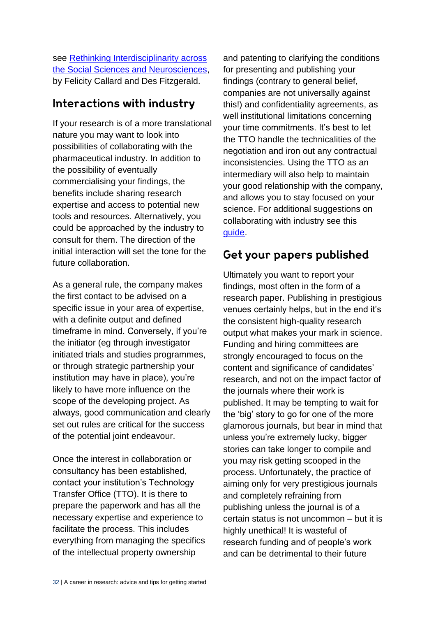see [Rethinking Interdisciplinarity across](https://link.springer.com/book/10.1057%2F9781137407962)  [the Social Sciences and Neurosciences,](https://link.springer.com/book/10.1057%2F9781137407962) by Felicity Callard and Des Fitzgerald.

#### Interactions with industry

If your research is of a more translational nature you may want to look into possibilities of collaborating with the pharmaceutical industry. In addition to the possibility of eventually commercialising your findings, the benefits include sharing research expertise and access to potential new tools and resources. Alternatively, you could be approached by the industry to consult for them. The direction of the initial interaction will set the tone for the future collaboration.

As a general rule, the company makes the first contact to be advised on a specific issue in your area of expertise, with a definite output and defined timeframe in mind. Conversely, if you're the initiator (eg through investigator initiated trials and studies programmes, or through strategic partnership your institution may have in place), you're likely to have more influence on the scope of the developing project. As always, good communication and clearly set out rules are critical for the success of the potential joint endeavour.

Once the interest in collaboration or consultancy has been established, contact your institution's Technology Transfer Office (TTO). It is there to prepare the paperwork and has all the necessary expertise and experience to facilitate the process. This includes everything from managing the specifics of the intellectual property ownership

and patenting to clarifying the conditions for presenting and publishing your findings (contrary to general belief, companies are not universally against this!) and confidentiality agreements, as well institutional limitations concerning your time commitments. It's best to let the TTO handle the technicalities of the negotiation and iron out any contractual inconsistencies. Using the TTO as an intermediary will also help to maintain your good relationship with the company, and allows you to stay focused on your science. For additional suggestions on collaborating with industry see this [guide.](http://www.bath.ac.uk/marketing/public-engagement/assets/Guide_to_engaging_with_industry_FINAL.pdf)

#### Get your papers published

Ultimately you want to report your findings, most often in the form of a research paper. Publishing in prestigious venues certainly helps, but in the end it's the consistent high-quality research output what makes your mark in science. Funding and hiring committees are strongly encouraged to focus on the content and significance of candidates' research, and not on the impact factor of the journals where their work is published. It may be tempting to wait for the 'big' story to go for one of the more glamorous journals, but bear in mind that unless you're extremely lucky, bigger stories can take longer to compile and you may risk getting scooped in the process. Unfortunately, the practice of aiming only for very prestigious journals and completely refraining from publishing unless the journal is of a certain status is not uncommon – but it is highly unethical! It is wasteful of research funding and of people's work and can be detrimental to their future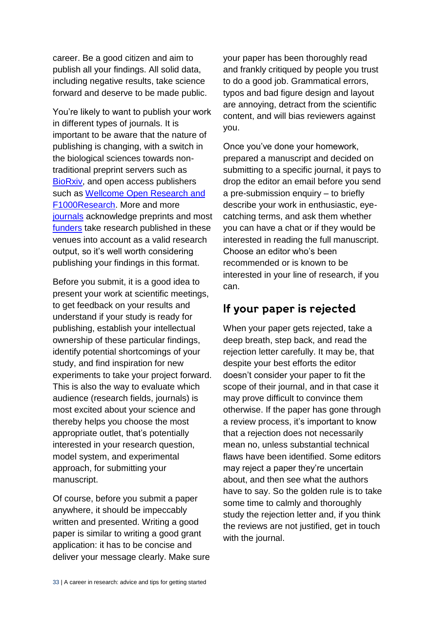career. Be a good citizen and aim to publish all your findings. All solid data, including negative results, take science forward and deserve to be made public.

You're likely to want to publish your work in different types of journals. It is important to be aware that the nature of publishing is changing, with a switch in the biological sciences towards nontraditional preprint servers such as [BioRxiv,](http://www.biorxiv.org/) and open access publishers such as [Wellcome Open Research](https://wellcomeopenresearch.org/about) and [F1000Research.](https://f1000research.com/) More and more [journals](https://en.wikipedia.org/wiki/List_of_academic_journals_by_preprint_policy) acknowledge preprints and most [funders](http://asapbio.org/funder-policies) take research published in these venues into account as a valid research output, so it's well worth considering publishing your findings in this format.

Before you submit, it is a good idea to present your work at scientific meetings, to get feedback on your results and understand if your study is ready for publishing, establish your intellectual ownership of these particular findings, identify potential shortcomings of your study, and find inspiration for new experiments to take your project forward. This is also the way to evaluate which audience (research fields, journals) is most excited about your science and thereby helps you choose the most appropriate outlet, that's potentially interested in your research question, model system, and experimental approach, for submitting your manuscript.

Of course, before you submit a paper anywhere, it should be impeccably written and presented. Writing a good paper is similar to writing a good grant application: it has to be concise and deliver your message clearly. Make sure your paper has been thoroughly read and frankly critiqued by people you trust to do a good job. Grammatical errors, typos and bad figure design and layout are annoying, detract from the scientific content, and will bias reviewers against you.

Once you've done your homework, prepared a manuscript and decided on submitting to a specific journal, it pays to drop the editor an email before you send a pre-submission enquiry – to briefly describe your work in enthusiastic, eyecatching terms, and ask them whether you can have a chat or if they would be interested in reading the full manuscript. Choose an editor who's been recommended or is known to be interested in your line of research, if you can.

#### If your paper is rejected

When your paper gets rejected, take a deep breath, step back, and read the rejection letter carefully. It may be, that despite your best efforts the editor doesn't consider your paper to fit the scope of their journal, and in that case it may prove difficult to convince them otherwise. If the paper has gone through a review process, it's important to know that a rejection does not necessarily mean no, unless substantial technical flaws have been identified. Some editors may reject a paper they're uncertain about, and then see what the authors have to say. So the golden rule is to take some time to calmly and thoroughly study the rejection letter and, if you think the reviews are not justified, get in touch with the journal.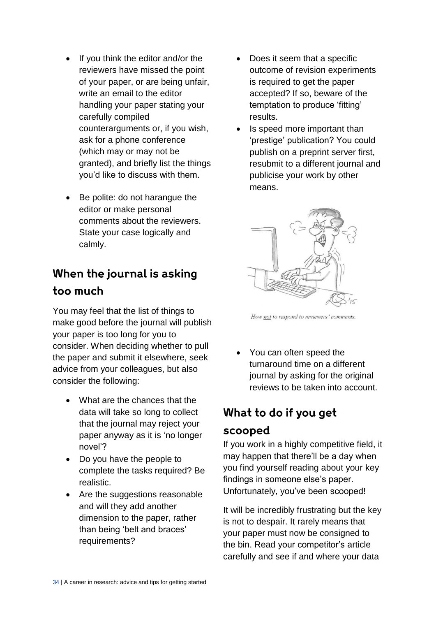- $\bullet$  If you think the editor and/or the reviewers have missed the point of your paper, or are being unfair, write an email to the editor handling your paper stating your carefully compiled counterarguments or, if you wish, ask for a phone conference (which may or may not be granted), and briefly list the things you'd like to discuss with them.
- Be polite: do not harangue the editor or make personal comments about the reviewers. State your case logically and calmly.

#### When the journal is asking too much

You may feel that the list of things to make good before the journal will publish your paper is too long for you to consider. When deciding whether to pull the paper and submit it elsewhere, seek advice from your colleagues, but also consider the following:

- What are the chances that the data will take so long to collect that the journal may reject your paper anyway as it is 'no longer novel'?
- Do you have the people to complete the tasks required? Be realistic.
- Are the suggestions reasonable and will they add another dimension to the paper, rather than being 'belt and braces' requirements?
- Does it seem that a specific outcome of revision experiments is required to get the paper accepted? If so, beware of the temptation to produce 'fitting' results.
- Is speed more important than 'prestige' publication? You could publish on a preprint server first, resubmit to a different journal and publicise your work by other means.



How not to respond to reviewers' comments.

 You can often speed the turnaround time on a different journal by asking for the original reviews to be taken into account.

### What to do if you get

#### scooped

If you work in a highly competitive field, it may happen that there'll be a day when you find yourself reading about your key findings in someone else's paper. Unfortunately, you've been scooped!

It will be incredibly frustrating but the key is not to despair. It rarely means that your paper must now be consigned to the bin. Read your competitor's article carefully and see if and where your data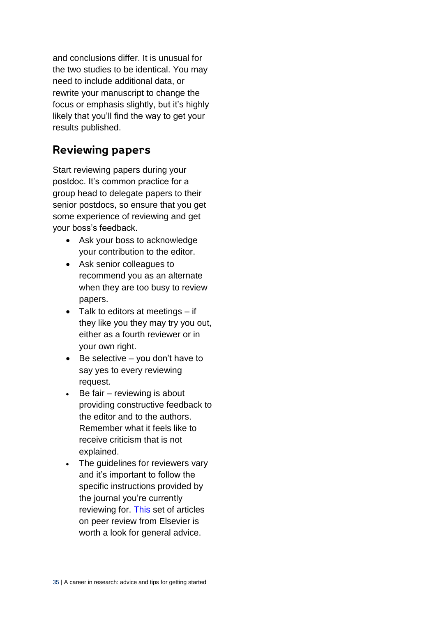and conclusions differ. It is unusual for the two studies to be identical. You may need to include additional data, or rewrite your manuscript to change the focus or emphasis slightly, but it's highly likely that you'll find the way to get your results published.

#### **Reviewing papers**

Start reviewing papers during your postdoc. It's common practice for a group head to delegate papers to their senior postdocs, so ensure that you get some experience of reviewing and get your boss's feedback.

- Ask your boss to acknowledge your contribution to the editor.
- Ask senior colleagues to recommend you as an alternate when they are too busy to review papers.
- $\bullet$  Talk to editors at meetings  $-$  if they like you they may try you out, either as a fourth reviewer or in your own right.
- $\bullet$  Be selective you don't have to say yes to every reviewing request.
- $\cdot$  Be fair reviewing is about providing constructive feedback to the editor and to the authors. Remember what it feels like to receive criticism that is not explained.
- The quidelines for reviewers vary and it's important to follow the specific instructions provided by the journal you're currently reviewing for. [This](https://www.publishingcampus.elsevier.com/pages/69/Colleges/College-of-Skills-Training/Peer-review.html) set of articles on peer review from Elsevier is worth a look for general advice.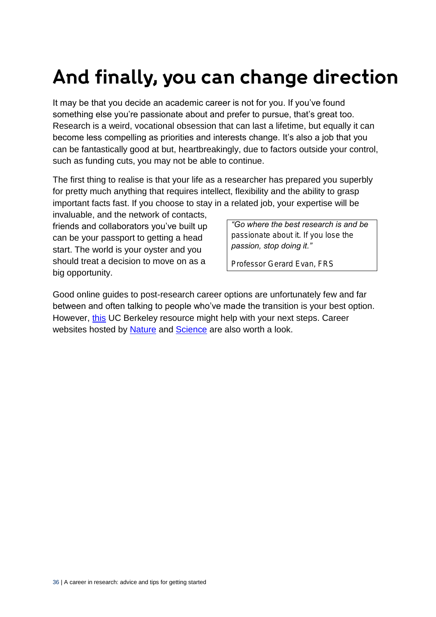### And finally, you can change direction

It may be that you decide an academic career is not for you. If you've found something else you're passionate about and prefer to pursue, that's great too. Research is a weird, vocational obsession that can last a lifetime, but equally it can become less compelling as priorities and interests change. It's also a job that you can be fantastically good at but, heartbreakingly, due to factors outside your control, such as funding cuts, you may not be able to continue.

The first thing to realise is that your life as a researcher has prepared you superbly for pretty much anything that requires intellect, flexibility and the ability to grasp important facts fast. If you choose to stay in a related job, your expertise will be

invaluable, and the network of contacts, friends and collaborators you've built up can be your passport to getting a head start. The world is your oyster and you should treat a decision to move on as a big opportunity.

*"Go where the best research is and be passionate about it. If you lose the passion, stop doing it."* 

*Professor Gerard Evan, FRS*

Good online guides to post-research career options are unfortunately few and far between and often talking to people who've made the transition is your best option. However, [this](https://career.berkeley.edu/Plan/Essentials) UC Berkeley resource might help with your next steps. Career websites hosted by [Nature](http://www.nature.com/naturejobs/science/news) and [Science](http://www.sciencemag.org/careers) are also worth a look.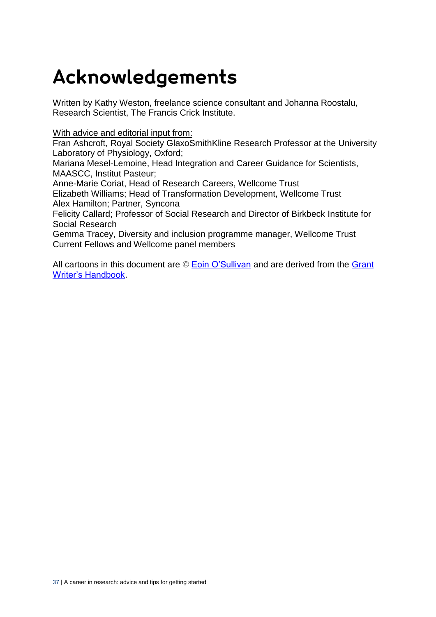### Acknowledgements

Written by Kathy Weston, freelance science consultant and Johanna Roostalu, Research Scientist, The Francis Crick Institute.

#### With advice and editorial input from:

Fran Ashcroft, Royal Society GlaxoSmithKline Research Professor at the University Laboratory of Physiology, Oxford;

Mariana Mesel-Lemoine, Head Integration and Career Guidance for Scientists, MAASCC, Institut Pasteur;

Anne-Marie Coriat, Head of Research Careers, Wellcome Trust

Elizabeth Williams; Head of Transformation Development, Wellcome Trust Alex Hamilton; Partner, Syncona

Felicity Callard; Professor of Social Research and Director of Birkbeck Institute for Social Research

Gemma Tracey, Diversity and inclusion programme manager, Wellcome Trust Current Fellows and Wellcome panel members

All cartoons in this document are © [Eoin O'Sullivan](http://www.ifm.eng.cam.ac.uk/people/eo252/) and are derived from the Grant [Writer's Handbook.](http://www.ifm.eng.cam.ac.uk/research/grant-writers-handbook/cartoons/)